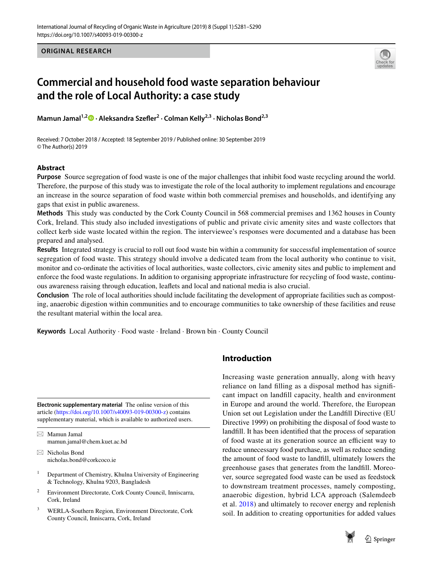**ORIGINAL RESEARCH**



# **Commercial and household food waste separation behaviour and the role of Local Authority: a case study**

**Mamun Jamal1,[2](http://orcid.org/0000-0002-3617-7444) · Aleksandra Szefer2 · Colman Kelly2,3 · Nicholas Bond2,3**

Received: 7 October 2018 / Accepted: 18 September 2019 / Published online: 30 September 2019 © The Author(s) 2019

#### **Abstract**

**Purpose** Source segregation of food waste is one of the major challenges that inhibit food waste recycling around the world. Therefore, the purpose of this study was to investigate the role of the local authority to implement regulations and encourage an increase in the source separation of food waste within both commercial premises and households, and identifying any gaps that exist in public awareness.

**Methods** This study was conducted by the Cork County Council in 568 commercial premises and 1362 houses in County Cork, Ireland. This study also included investigations of public and private civic amenity sites and waste collectors that collect kerb side waste located within the region. The interviewee's responses were documented and a database has been prepared and analysed.

**Results** Integrated strategy is crucial to roll out food waste bin within a community for successful implementation of source segregation of food waste. This strategy should involve a dedicated team from the local authority who continue to visit, monitor and co-ordinate the activities of local authorities, waste collectors, civic amenity sites and public to implement and enforce the food waste regulations. In addition to organising appropriate infrastructure for recycling of food waste, continuous awareness raising through education, leafets and local and national media is also crucial.

**Conclusion** The role of local authorities should include facilitating the development of appropriate facilities such as composting, anaerobic digestion within communities and to encourage communities to take ownership of these facilities and reuse the resultant material within the local area.

**Keywords** Local Authority · Food waste · Ireland · Brown bin · County Council

**Electronic supplementary material** The online version of this article [\(https://doi.org/10.1007/s40093-019-00300-z](https://doi.org/10.1007/s40093-019-00300-z)) contains supplementary material, which is available to authorized users.

 $\boxtimes$  Mamun Jamal mamun.jamal@chem.kuet.ac.bd

 $\boxtimes$  Nicholas Bond nicholas.bond@corkcoco.ie

- <sup>1</sup> Department of Chemistry, Khulna University of Engineering & Technology, Khulna 9203, Bangladesh
- <sup>2</sup> Environment Directorate, Cork County Council, Inniscarra, Cork, Ireland
- <sup>3</sup> WERLA-Southern Region, Environment Directorate, Cork County Council, Inniscarra, Cork, Ireland

## **Introduction**

Increasing waste generation annually, along with heavy reliance on land flling as a disposal method has signifcant impact on landfll capacity, health and environment in Europe and around the world. Therefore, the European Union set out Legislation under the Landfll Directive (EU Directive 1999) on prohibiting the disposal of food waste to landfll. It has been identifed that the process of separation of food waste at its generation source an efficient way to reduce unnecessary food purchase, as well as reduce sending the amount of food waste to landfll, ultimately lowers the greenhouse gases that generates from the landfll. Moreover, source segregated food waste can be used as feedstock to downstream treatment processes, namely composting, anaerobic digestion, hybrid LCA approach (Salemdeeb et al. [2018](#page-9-0)) and ultimately to recover energy and replenish soil. In addition to creating opportunities for added values

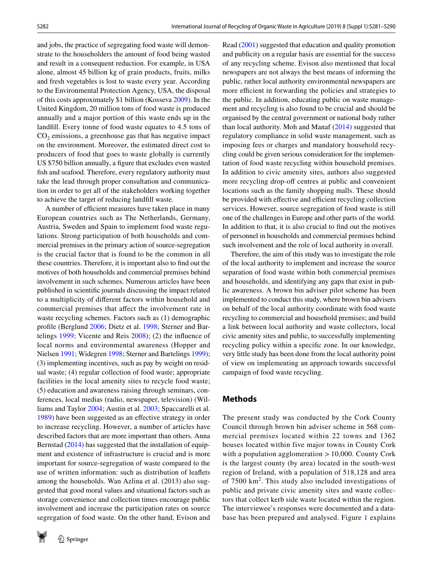and jobs, the practice of segregating food waste will demonstrate to the householders the amount of food being wasted and result in a consequent reduction. For example, in USA alone, almost 45 billion kg of grain products, fruits, milks and fresh vegetables is lost to waste every year. According to the Environmental Protection Agency, USA, the disposal of this costs approximately \$1 billion (Kosseva [2009](#page-8-0)). In the United Kingdom, 20 million tons of food waste is produced annually and a major portion of this waste ends up in the landfll. Every tonne of food waste equates to 4.5 tons of  $CO<sub>2</sub>$  emissions, a greenhouse gas that has negative impact on the environment. Moreover, the estimated direct cost to producers of food that goes to waste globally is currently US \$750 billion annually, a fgure that excludes even wasted fish and seafood. Therefore, every regulatory authority must take the lead through proper consultation and communication in order to get all of the stakeholders working together to achieve the target of reducing landfll waste.

A number of efficient measures have taken place in many European countries such as The Netherlands, Germany, Austria, Sweden and Spain to implement food waste regulations. Strong participation of both households and commercial premises in the primary action of source-segregation is the crucial factor that is found to be the common in all these countries. Therefore, it is important also to fnd out the motives of both households and commercial premises behind involvement in such schemes. Numerous articles have been published in scientifc journals discussing the impact related to a multiplicity of diferent factors within household and commercial premises that affect the involvement rate in waste recycling schemes. Factors such as (1) demographic profle (Berglund [2006;](#page-8-1) Dietz et al. [1998;](#page-8-2) Sterner and Bartelings [1999;](#page-9-1) Vicente and Reis [2008\)](#page-9-2); (2) the infuence of local norms and environmental awareness (Hopper and Nielsen [1991;](#page-8-3) Widegren [1998;](#page-9-3) Sterner and Bartelings [1999](#page-9-1)); (3) implementing incentives, such as pay by weight on residual waste; (4) regular collection of food waste; appropriate facilities in the local amenity sites to recycle food waste; (5) education and awareness raising through seminars, conferences, local medias (radio, newspaper, television) (Williams and Taylor [2004;](#page-9-4) Austin et al. [2003](#page-8-4); Spaccarelli et al. [1989](#page-9-5)) have been suggested as an efective strategy in order to increase recycling. However, a number of articles have described factors that are more important than others. Anna Bernstad [\(2014](#page-8-5)) has suggested that the installation of equipment and existence of infrastructure is crucial and is more important for source-segregation of waste compared to the use of written information: such as distribution of leafets among the households. Wan Azlina et al. (2013) also suggested that good moral values and situational factors such as storage convenience and collection times encourage public involvement and increase the participation rates on source segregation of food waste. On the other hand, Evison and



Read ([2001\)](#page-8-6) suggested that education and quality promotion and publicity on a regular basis are essential for the success of any recycling scheme. Evison also mentioned that local newspapers are not always the best means of informing the public, rather local authority environmental newspapers are more efficient in forwarding the policies and strategies to the public. In addition, educating public on waste management and recycling is also found to be crucial and should be organised by the central government or national body rather than local authority. Moh and Manaf ([2014\)](#page-9-6) suggested that regulatory compliance in solid waste management, such as imposing fees or charges and mandatory household recycling could be given serious consideration for the implementation of food waste recycling within household premises. In addition to civic amenity sites, authors also suggested more recycling drop-off centres at public and convenient locations such as the family shopping malls. These should be provided with effective and efficient recycling collection services. However, source segregation of food waste is still one of the challenges in Europe and other parts of the world. In addition to that, it is also crucial to fnd out the motives of personnel in households and commercial premises behind such involvement and the role of local authority in overall.

Therefore, the aim of this study was to investigate the role of the local authority to implement and increase the source separation of food waste within both commercial premises and households, and identifying any gaps that exist in public awareness. A brown bin adviser pilot scheme has been implemented to conduct this study, where brown bin advisers on behalf of the local authority coordinate with food waste recycling to commercial and household premises; and build a link between local authority and waste collectors, local civic amenity sites and public, to successfully implementing recycling policy within a specifc zone. In our knowledge, very little study has been done from the local authority point of view on implementing an approach towards successful campaign of food waste recycling.

#### **Methods**

The present study was conducted by the Cork County Council through brown bin adviser scheme in 568 commercial premises located within 22 towns and 1362 houses located within five major towns in County Cork with a population agglomeration  $> 10,000$ . County Cork is the largest county (by area) located in the south-west region of Ireland, with a population of 518,128 and area of 7500 km<sup>2</sup>. This study also included investigations of public and private civic amenity sites and waste collectors that collect kerb side waste located within the region. The interviewee's responses were documented and a database has been prepared and analysed. Figure [1](#page-2-0) explains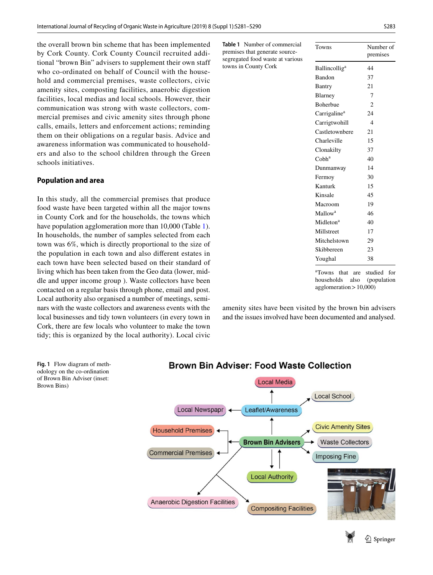the overall brown bin scheme that has been implemented by Cork County. Cork County Council recruited additional "brown Bin" advisers to supplement their own staff who co-ordinated on behalf of Council with the household and commercial premises, waste collectors, civic amenity sites, composting facilities, anaerobic digestion facilities, local medias and local schools. However, their communication was strong with waste collectors, commercial premises and civic amenity sites through phone calls, emails, letters and enforcement actions; reminding them on their obligations on a regular basis. Advice and awareness information was communicated to householders and also to the school children through the Green schools initiatives.

#### **Population and area**

In this study, all the commercial premises that produce food waste have been targeted within all the major towns in County Cork and for the households, the towns which have population agglomeration more than 10,000 (Table [1](#page-2-1)). In households, the number of samples selected from each town was 6%, which is directly proportional to the size of the population in each town and also diferent estates in each town have been selected based on their standard of living which has been taken from the Geo data (lower, middle and upper income group ). Waste collectors have been contacted on a regular basis through phone, email and post. Local authority also organised a number of meetings, seminars with the waste collectors and awareness events with the local businesses and tidy town volunteers (in every town in Cork, there are few locals who volunteer to make the town tidy; this is organized by the local authority). Local civic

<span id="page-2-1"></span>**Table 1** Number of commercial premises that generate sourcesegregated food waste at vario towns in County Cork

| <b>us</b> |                                                                                              | premises       |
|-----------|----------------------------------------------------------------------------------------------|----------------|
|           | <b>Ballincollig<sup>a</sup></b>                                                              | 44             |
|           | Bandon                                                                                       | 37             |
|           | Bantry                                                                                       | 21             |
|           | Blarney                                                                                      | 7              |
|           | <b>Boherbue</b>                                                                              | $\overline{c}$ |
|           | Carrigaline <sup>a</sup>                                                                     | 24             |
|           | Carrigtwohill                                                                                | $\overline{4}$ |
|           | Castletownbere                                                                               | 21             |
|           | Charleville                                                                                  | 15             |
|           | Clonakilty                                                                                   | 37             |
|           | $C$ obh <sup>a</sup>                                                                         | 40             |
|           | Dunmanway                                                                                    | 14             |
|           | Fermoy                                                                                       | 30             |
|           | Kanturk                                                                                      | 15             |
|           | Kinsale                                                                                      | 45             |
|           | Macroom                                                                                      | 19             |
|           | Mallow <sup>a</sup>                                                                          | 46             |
|           | Midleton <sup>a</sup>                                                                        | 40             |
|           | Millstreet                                                                                   | 17             |
|           | Mitchelstown                                                                                 | 29             |
|           | Skibbereen                                                                                   | 23             |
|           | Youghal                                                                                      | 38             |
|           | <sup>a</sup> Towns<br>that<br>are<br>households also (population<br>agglomeration $> 10,000$ | studied<br>for |

Towns Number of

amenity sites have been visited by the brown bin advisers and the issues involved have been documented and analysed.



<span id="page-2-0"></span>**Fig. 1** Flow diagram of methodology on the co-ordination of Brown Bin Adviser (inset: Brown Bins)

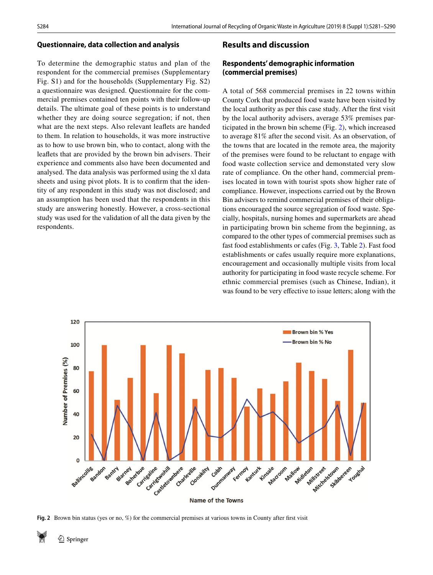#### **Questionnaire, data collection and analysis**

To determine the demographic status and plan of the respondent for the commercial premises (Supplementary Fig. S1) and for the households (Supplementary Fig. S2) a questionnaire was designed. Questionnaire for the commercial premises contained ten points with their follow-up details. The ultimate goal of these points is to understand whether they are doing source segregation; if not, then what are the next steps. Also relevant leafets are handed to them. In relation to households, it was more instructive as to how to use brown bin, who to contact, along with the leafets that are provided by the brown bin advisers. Their experience and comments also have been documented and analysed. The data analysis was performed using the xl data sheets and using pivot plots. It is to confrm that the identity of any respondent in this study was not disclosed; and an assumption has been used that the respondents in this study are answering honestly. However, a cross-sectional study was used for the validation of all the data given by the respondents.

## **Results and discussion**

## **Respondents' demographic information (commercial premises)**

A total of 568 commercial premises in 22 towns within County Cork that produced food waste have been visited by the local authority as per this case study. After the frst visit by the local authority advisers, average 53% premises participated in the brown bin scheme (Fig. [2\)](#page-3-0), which increased to average 81% after the second visit. As an observation, of the towns that are located in the remote area, the majority of the premises were found to be reluctant to engage with food waste collection service and demonstated very slow rate of compliance. On the other hand, commercial premises located in town with tourist spots show higher rate of compliance. However, inspections carried out by the Brown Bin advisers to remind commercial premises of their obligations encouraged the source segregation of food waste. Specially, hospitals, nursing homes and supermarkets are ahead in participating brown bin scheme from the beginning, as compared to the other types of commercial premises such as fast food establishments or cafes (Fig. [3](#page-4-0), Table [2](#page-4-1)). Fast food establishments or cafes usually require more explanations, encouragement and occasionally multiple visits from local authority for participating in food waste recycle scheme. For ethnic commercial premises (such as Chinese, Indian), it was found to be very effective to issue letters; along with the



**Name of the Towns** 

<span id="page-3-0"></span>**Fig. 2** Brown bin status (yes or no, %) for the commercial premises at various towns in County after frst visit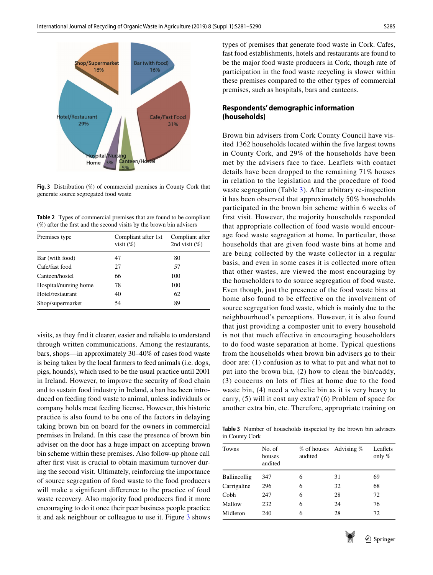

<span id="page-4-0"></span>**Fig. 3** Distribution (%) of commercial premises in County Cork that generate source segregated food waste

<span id="page-4-1"></span>**Table 2** Types of commercial premises that are found to be compliant (%) after the frst and the second visits by the brown bin advisers

| Premises type         | Compliant after 1st<br>visit $(\%)$ | Compliant after<br>2nd visit $(\%)$ |  |  |
|-----------------------|-------------------------------------|-------------------------------------|--|--|
| Bar (with food)       | 47                                  | 80                                  |  |  |
| Cafe/fast food        | 27                                  | 57                                  |  |  |
| Canteen/hostel        | 66                                  | 100                                 |  |  |
| Hospital/nursing home | 78                                  | 100                                 |  |  |
| Hotel/restaurant      | 40                                  | 62                                  |  |  |
| Shop/supermarket      | 54                                  | 89                                  |  |  |

visits, as they fnd it clearer, easier and reliable to understand through written communications. Among the restaurants, bars, shops—in approximately 30–40% of cases food waste is being taken by the local farmers to feed animals (i.e. dogs, pigs, hounds), which used to be the usual practice until 2001 in Ireland. However, to improve the security of food chain and to sustain food industry in Ireland, a ban has been introduced on feeding food waste to animal, unless individuals or company holds meat feeding license. However, this historic practice is also found to be one of the factors in delaying taking brown bin on board for the owners in commercial premises in Ireland. In this case the presence of brown bin adviser on the door has a huge impact on accepting brown bin scheme within these premises. Also follow-up phone call after frst visit is crucial to obtain maximum turnover during the second visit. Ultimately, reinforcing the importance of source segregation of food waste to the food producers will make a signifcant diference to the practice of food waste recovery. Also majority food producers fnd it more encouraging to do it once their peer business people practice it and ask neighbour or colleague to use it. Figure [3](#page-4-0) shows

types of premises that generate food waste in Cork. Cafes, fast food establishments, hotels and restaurants are found to be the major food waste producers in Cork, though rate of participation in the food waste recycling is slower within these premises compared to the other types of commercial premises, such as hospitals, bars and canteens.

## **Respondents' demographic information (households)**

Brown bin advisers from Cork County Council have visited 1362 households located within the five largest towns in County Cork, and 29% of the households have been met by the advisers face to face. Leaflets with contact details have been dropped to the remaining 71% houses in relation to the legislation and the procedure of food waste segregation (Table [3](#page-4-2)). After arbitrary re-inspection it has been observed that approximately 50% households participated in the brown bin scheme within 6 weeks of first visit. However, the majority households responded that appropriate collection of food waste would encourage food waste segregation at home. In particular, those households that are given food waste bins at home and are being collected by the waste collector in a regular basis, and even in some cases it is collected more often that other wastes, are viewed the most encouraging by the householders to do source segregation of food waste. Even though, just the presence of the food waste bins at home also found to be effective on the involvement of source segregation food waste, which is mainly due to the neighbourhood's perceptions. However, it is also found that just providing a composter unit to every household is not that much effective in encouraging householders to do food waste separation at home. Typical questions from the households when brown bin advisers go to their door are: (1) confusion as to what to put and what not to put into the brown bin, (2) how to clean the bin/caddy, (3) concerns on lots of flies at home due to the food waste bin, (4) need a wheelie bin as it is very heavy to carry, (5) will it cost any extra? (6) Problem of space for another extra bin, etc. Therefore, appropriate training on

<span id="page-4-2"></span>**Table 3** Number of households inspected by the brown bin advisers in County Cork

| <b>Towns</b> | No. of<br>houses<br>audited | % of houses Advising %<br>audited |    | Leaflets<br>only $%$ |
|--------------|-----------------------------|-----------------------------------|----|----------------------|
| Ballincollig | 347                         | 6                                 | 31 | 69                   |
| Carrigaline  | 296                         | 6                                 | 32 | 68                   |
| Cobh         | 247                         | 6                                 | 28 | 72                   |
| Mallow       | 232                         | 6                                 | 24 | 76                   |
| Midleton     | 240                         | 6                                 | 28 | 72                   |

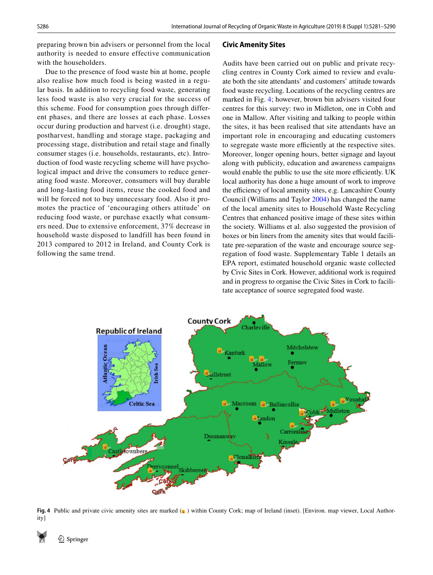preparing brown bin advisers or personnel from the local authority is needed to ensure effective communication with the householders.

Due to the presence of food waste bin at home, people also realise how much food is being wasted in a regular basis. In addition to recycling food waste, generating less food waste is also very crucial for the success of this scheme. Food for consumption goes through different phases, and there are losses at each phase. Losses occur during production and harvest (i.e. drought) stage, postharvest, handling and storage stage, packaging and processing stage, distribution and retail stage and finally consumer stages (i.e. households, restaurants, etc). Introduction of food waste recycling scheme will have psychological impact and drive the consumers to reduce generating food waste. Moreover, consumers will buy durable and long-lasting food items, reuse the cooked food and will be forced not to buy unnecessary food. Also it promotes the practice of 'encouraging others attitude' on reducing food waste, or purchase exactly what consumers need. Due to extensive enforcement, 37% decrease in household waste disposed to landfill has been found in 2013 compared to 2012 in Ireland, and County Cork is following the same trend.

#### **Civic Amenity Sites**

Audits have been carried out on public and private recycling centres in County Cork aimed to review and evaluate both the site attendants' and customers' attitude towards food waste recycling. Locations of the recycling centres are marked in Fig. [4](#page-5-0); however, brown bin advisers visited four centres for this survey: two in Midleton, one in Cobh and one in Mallow. After visiting and talking to people within the sites, it has been realised that site attendants have an important role in encouraging and educating customers to segregate waste more efficiently at the respective sites. Moreover, longer opening hours, better signage and layout along with publicity, education and awareness campaigns would enable the public to use the site more efficiently. UK local authority has done a huge amount of work to improve the efficiency of local amenity sites, e.g. Lancashire County Council (Williams and Taylor [2004\)](#page-9-4) has changed the name of the local amenity sites to Household Waste Recycling Centres that enhanced positive image of these sites within the society. Williams et al. also suggested the provision of boxes or bin liners from the amenity sites that would facilitate pre-separation of the waste and encourage source segregation of food waste. Supplementary Table 1 details an EPA report, estimated household organic waste collected by Civic Sites in Cork. However, additional work is required and in progress to organise the Civic Sites in Cork to facilitate acceptance of source segregated food waste.



<span id="page-5-0"></span>**Fig. 4** Public and private civic amenity sites are marked (**a**) within County Cork; map of Ireland (inset). [Environ. map viewer, Local Authority]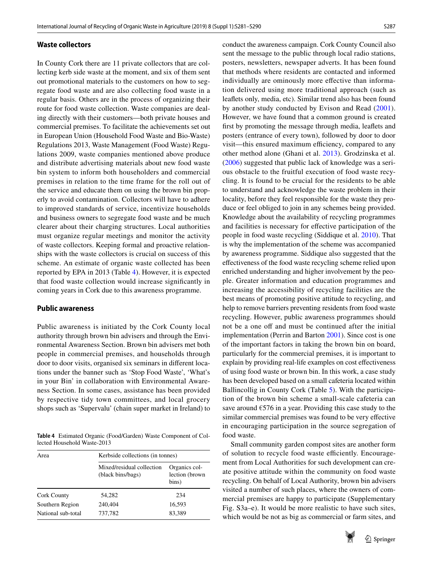#### **Waste collectors**

In County Cork there are 11 private collectors that are collecting kerb side waste at the moment, and six of them sent out promotional materials to the customers on how to segregate food waste and are also collecting food waste in a regular basis. Others are in the process of organizing their route for food waste collection. Waste companies are dealing directly with their customers—both private houses and commercial premises. To facilitate the achievements set out in European Union (Household Food Waste and Bio-Waste) Regulations 2013, Waste Management (Food Waste) Regulations 2009, waste companies mentioned above produce and distribute advertising materials about new food waste bin system to inform both householders and commercial premises in relation to the time frame for the roll out of the service and educate them on using the brown bin properly to avoid contamination. Collectors will have to adhere to improved standards of service, incentivize households and business owners to segregate food waste and be much clearer about their charging structures. Local authorities must organize regular meetings and monitor the activity of waste collectors. Keeping formal and proactive relationships with the waste collectors is crucial on success of this scheme. An estimate of organic waste collected has been reported by EPA in 2013 (Table [4\)](#page-6-0). However, it is expected that food waste collection would increase signifcantly in coming years in Cork due to this awareness programme.

#### **Public awareness**

Public awareness is initiated by the Cork County local authority through brown bin advisers and through the Environmental Awareness Section. Brown bin advisers met both people in commercial premises, and households through door to door visits, organised six seminars in diferent locations under the banner such as 'Stop Food Waste', 'What's in your Bin' in collaboration with Environmental Awareness Section. In some cases, assistance has been provided by respective tidy town committees, and local grocery shops such as 'Supervalu' (chain super market in Ireland) to

<span id="page-6-0"></span>**Table 4** Estimated Organic (Food/Garden) Waste Component of Collected Household Waste-2013

| Area               | Kerbside collections (in tonnes)               |                                          |  |  |  |
|--------------------|------------------------------------------------|------------------------------------------|--|--|--|
|                    | Mixed/residual collection<br>(black bins/bags) | Organics col-<br>lection (brown<br>bins) |  |  |  |
| <b>Cork County</b> | 54.282                                         | 234                                      |  |  |  |
| Southern Region    | 240.404                                        | 16,593                                   |  |  |  |
| National sub-total | 737,782                                        | 83,389                                   |  |  |  |

conduct the awareness campaign. Cork County Council also sent the message to the public through local radio stations, posters, newsletters, newspaper adverts. It has been found that methods where residents are contacted and informed individually are ominously more efective than information delivered using more traditional approach (such as leafets only, media, etc). Similar trend also has been found by another study conducted by Evison and Read [\(2001](#page-8-6)). However, we have found that a common ground is created frst by promoting the message through media, leafets and posters (entrance of every town), followed by door to door visit—this ensured maximum efficiency, compared to any other method alone (Ghani et al. [2013\)](#page-8-7). Grodzinska et al. ([2006\)](#page-8-8) suggested that public lack of knowledge was a serious obstacle to the fruitful execution of food waste recycling. It is found to be crucial for the residents to be able to understand and acknowledge the waste problem in their locality, before they feel responsible for the waste they produce or feel obliged to join in any schemes being provided. Knowledge about the availability of recycling programmes and facilities is necessary for efective participation of the people in food waste recycling (Siddique et al. [2010](#page-9-7)). That is why the implementation of the scheme was accompanied by awareness programme. Siddique also suggested that the efectiveness of the food waste recycling scheme relied upon enriched understanding and higher involvement by the people. Greater information and education programmes and increasing the accessibility of recycling facilities are the best means of promoting positive attitude to recycling, and help to remove barriers preventing residents from food waste recycling. However, public awareness programmes should not be a one off and must be continued after the initial implementation (Perrin and Barton [2001](#page-9-8)). Since cost is one of the important factors in taking the brown bin on board, particularly for the commercial premises, it is important to explain by providing real-life examples on cost efectiveness of using food waste or brown bin. In this work, a case study has been developed based on a small cafeteria located within Ballincollig in County Cork (Table [5\)](#page-7-0). With the participation of the brown bin scheme a small-scale cafeteria can save around  $\epsilon$ 576 in a year. Providing this case study to the similar commercial premises was found to be very efective in encouraging participation in the source segregation of food waste.

Small community garden compost sites are another form of solution to recycle food waste efficiently. Encouragement from Local Authorities for such development can create positive attitude within the community on food waste recycling. On behalf of Local Authority, brown bin advisers visited a number of such places, where the owners of commercial premises are happy to participate (Supplementary Fig. S3a–e). It would be more realistic to have such sites, which would be not as big as commercial or farm sites, and

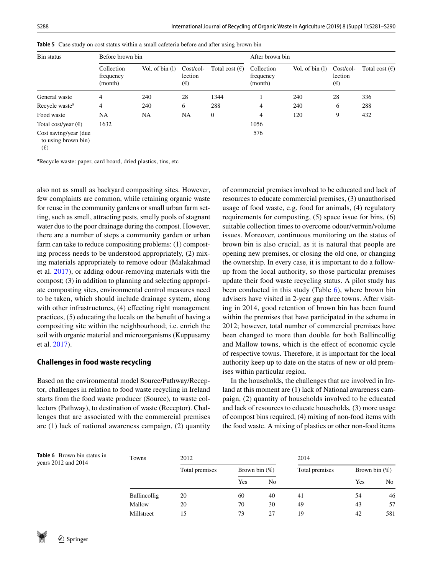| Bin status                                                   | Before brown bin                   |                  |                                        |                         | After brown bin                    |                  |                                         |                         |
|--------------------------------------------------------------|------------------------------------|------------------|----------------------------------------|-------------------------|------------------------------------|------------------|-----------------------------------------|-------------------------|
|                                                              | Collection<br>frequency<br>(month) | Vol. of $bin(1)$ | $Cost/col-$<br>lection<br>$(\epsilon)$ | Total cost $(\epsilon)$ | Collection<br>frequency<br>(month) | Vol. of $bin(1)$ | $Cost/col$ -<br>lection<br>$(\epsilon)$ | Total cost $(\epsilon)$ |
| General waste                                                | 4                                  | 240              | 28                                     | 1344                    |                                    | 240              | 28                                      | 336                     |
| Recycle waste <sup>a</sup>                                   | 4                                  | 240              | 6                                      | 288                     | 4                                  | 240              | 6                                       | 288                     |
| Food waste                                                   | NA                                 | NA.              | NA                                     | $\boldsymbol{0}$        | 4                                  | 120              | 9                                       | 432                     |
| Total cost/year $(\epsilon)$                                 | 1632                               |                  |                                        |                         | 1056                               |                  |                                         |                         |
| Cost saving/year (due<br>to using brown bin)<br>$(\epsilon)$ |                                    |                  |                                        |                         | 576                                |                  |                                         |                         |

<span id="page-7-0"></span>**Table 5** Case study on cost status within a small cafeteria before and after using brown bin

a Recycle waste: paper, card board, dried plastics, tins, etc

also not as small as backyard compositing sites. However, few complaints are common, while retaining organic waste for reuse in the community gardens or small urban farm setting, such as smell, attracting pests, smelly pools of stagnant water due to the poor drainage during the compost. However, there are a number of steps a community garden or urban farm can take to reduce compositing problems: (1) composting process needs to be understood appropriately, (2) mixing materials appropriately to remove odour (Malakahmad et al. [2017\)](#page-8-9), or adding odour-removing materials with the compost; (3) in addition to planning and selecting appropriate composting sites, environmental control measures need to be taken, which should include drainage system, along with other infrastructures, (4) effecting right management practices, (5) educating the locals on the beneft of having a compositing site within the neighbourhood; i.e. enrich the soil with organic material and microorganisms (Kuppusamy et al. [2017](#page-8-10)).

#### **Challenges in food waste recycling**

Based on the environmental model Source/Pathway/Receptor, challenges in relation to food waste recycling in Ireland starts from the food waste producer (Source), to waste collectors (Pathway), to destination of waste (Receptor). Challenges that are associated with the commercial premises are (1) lack of national awareness campaign, (2) quantity of commercial premises involved to be educated and lack of resources to educate commercial premises, (3) unauthorised usage of food waste, e.g. food for animals, (4) regulatory requirements for composting, (5) space issue for bins, (6) suitable collection times to overcome odour/vermin/volume issues. Moreover, continuous monitoring on the status of brown bin is also crucial, as it is natural that people are opening new premises, or closing the old one, or changing the ownership. In every case, it is important to do a followup from the local authority, so those particular premises update their food waste recycling status. A pilot study has been conducted in this study (Table [6](#page-7-1)), where brown bin advisers have visited in 2-year gap three towns. After visiting in 2014, good retention of brown bin has been found within the premises that have participated in the scheme in 2012; however, total number of commercial premises have been changed to more than double for both Ballincollig and Mallow towns, which is the efect of economic cycle of respective towns. Therefore, it is important for the local authority keep up to date on the status of new or old premises within particular region.

In the households, the challenges that are involved in Ireland at this moment are (1) lack of National awareness campaign, (2) quantity of households involved to be educated and lack of resources to educate households, (3) more usage of compost bins required, (4) mixing of non-food items with the food waste. A mixing of plastics or other non-food items

<span id="page-7-1"></span>

| Table 6 Brown bin status in<br>years 2012 and 2014 | Towns        | 2012           |                  |                | 2014           |                  |                |
|----------------------------------------------------|--------------|----------------|------------------|----------------|----------------|------------------|----------------|
|                                                    |              | Total premises | Brown bin $(\%)$ |                | Total premises | Brown bin $(\%)$ |                |
|                                                    |              |                | Yes              | N <sub>0</sub> |                | Yes              | N <sub>0</sub> |
|                                                    | Ballincollig | 20             | 60               | 40             | 41             | 54               | 46             |
|                                                    | Mallow       | 20             | 70               | 30             | 49             | 43               | 57             |
|                                                    | Millstreet   | 15             | 73               | 27             | 19             | 42               | 581            |

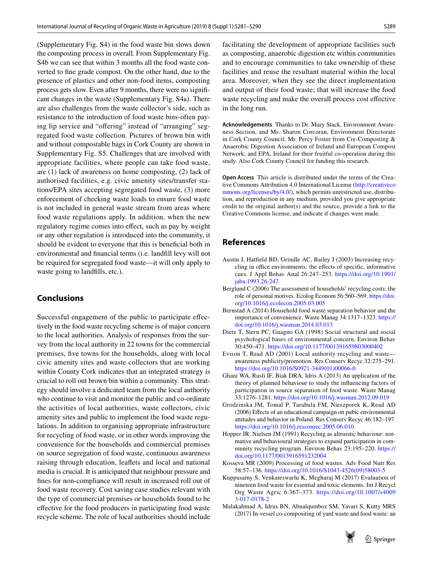(Supplementary Fig. S4) in the food waste bin slows down the composting process in overall. From Supplementary Fig. S4b we can see that within 3 months all the food waste converted to fne grade compost. On the other hand, due to the presence of plastics and other non-food items, composting process gets slow. Even after 9 months, there were no signifcant changes in the waste (Supplementary Fig. S4a). There are also challenges from the waste collector's side, such as resistance to the introduction of food waste bins-often paying lip service and "offering" instead of "arranging" segregated food waste collection. Pictures of brown bin with and without compostable bags in Cork County are shown in Supplementary Fig. S5. Challenges that are involved with appropriate facilities, where people can take food waste, are (1) lack of awareness on home composting, (2) lack of authorised facilities, e.g. civic amenity sites/transfer stations/EPA sites accepting segregated food waste, (3) more enforcement of checking waste loads to ensure food waste is not included in general waste stream from areas where food waste regulations apply. In addition, when the new regulatory regime comes into efect, such as pay by weight or any other regulation is introduced into the community, it should be evident to everyone that this is beneficial both in environmental and fnancial terms (i.e. landfll levy will not be required for segregated food waste—it will only apply to waste going to landfills, etc.).

## **Conclusions**

Successful engagement of the public to participate efectively in the food waste recycling scheme is of major concern to the local authorities. Analysis of responses from the survey from the local authority in 22 towns for the commercial premises, fve towns for the households, along with local civic amenity sites and waste collectors that are working within County Cork indicates that an integrated strategy is crucial to roll out brown bin within a community. This strategy should involve a dedicated team from the local authority who continue to visit and monitor the public and co-ordinate the activities of local authorities, waste collectors, civic amenity sites and public to implement the food waste regulations. In addition to organising appropriate infrastructure for recycling of food waste, or in other words improving the convenience for the households and commercial premises on source segregation of food waste, continuous awareness raising through education, leafets and local and national media is crucial. It is anticipated that neighbour pressure and fnes for non-compliance will result in increased roll out of food waste recovery. Cost saving case studies relevant with the type of commercial premises or households found to be efective for the food producers in participating food waste recycle scheme. The role of local authorities should include

facilitating the development of appropriate facilities such as composting, anaerobic digestion etc within communities and to encourage communities to take ownership of these facilities and reuse the resultant material within the local area. Moreover, when they see the direct implementation and output of their food waste; that will increase the food waste recycling and make the overall process cost efective in the long run.

**Acknowledgements** Thanks to Dr. Mary Stack, Environment Awareness Section, and Ms. Sharon Corcoran, Environment Directorate in Cork County Council; Mr. Percy Foster from Cre-Composting & Anaerobic Digestion Association of Ireland and European Compost Network; and EPA, Ireland for their fruitful co-operation during this study. Also Cork County Council for funding this research.

**Open Access** This article is distributed under the terms of the Creative Commons Attribution 4.0 International License ([http://creativeco](http://creativecommons.org/licenses/by/4.0/) [mmons.org/licenses/by/4.0/](http://creativecommons.org/licenses/by/4.0/)), which permits unrestricted use, distribution, and reproduction in any medium, provided you give appropriate credit to the original author(s) and the source, provide a link to the Creative Commons license, and indicate if changes were made.

### **References**

- <span id="page-8-4"></span>Austin J, Hatfeld BD, Grindle AC, Bailey J (2003) Increasing recycling in office environments: the effects of specific, informative cues. J Appl Behav Anal 26:247–253. [https://doi.org/10.1901/](https://doi.org/10.1901/jaba.1993.26-247) [jaba.1993.26-247](https://doi.org/10.1901/jaba.1993.26-247)
- <span id="page-8-1"></span>Berglund C (2006) The assessment of households' recycling costs; the role of personal motives. Ecolog Econom 56:560–569. [https://doi.](https://doi.org/10.1016/j.ecolecon.2005.03.005) [org/10.1016/j.ecolecon.2005.03.005](https://doi.org/10.1016/j.ecolecon.2005.03.005)
- <span id="page-8-5"></span>Bernstad A (2014) Household food waste separation behavior and the importance of convenience. Waste Manag 34:1317–1323. [https://](https://doi.org/10.1016/j.wasman.2014.03.013) [doi.org/10.1016/j.wasman.2014.03.013](https://doi.org/10.1016/j.wasman.2014.03.013)
- <span id="page-8-2"></span>Dietz T, Stern PC, Guagno GA (1998) Social structural and social psychological bases of environmental concern. Environ Behav 30:450–471.<https://doi.org/10.1177/001391659803000402>
- <span id="page-8-6"></span>Evison T, Read AD (2001) Local authority recycling and waste awareness publicity/promotion. Res Conserv Recyc 32:275–291. [https://doi.org/10.1016/S0921-3449\(01\)00066-0](https://doi.org/10.1016/S0921-3449(01)00066-0)
- <span id="page-8-7"></span>Ghani WA, Rusli IF, Biak DRA, Idris A (2013) An application of the theory of planned behaviour to study the infuencing factors of participation in source separation of food waste. Waste Manag 33:1276–1281.<https://doi.org/10.1016/j.wasman.2012.09.019>
- <span id="page-8-8"></span>Grodzinska JM, Tomal P, Tarabula FM, Nieszporek K, Read AD (2006) Efects of an educational campaign on pubic environmental attitudes and behavior in Poland. Res Conserv Recyc 46:182–197. <https://doi.org/10.1016/j.resconrec.2005.06.010>
- <span id="page-8-3"></span>Hopper JR, Nielsen JM (1991) Recycling as altruistic behaviour: normative and behavioural strategies to expand participation in community recycling program. Environ Behav 23:195–220. [https://](https://doi.org/10.1177/0013916591232004) [doi.org/10.1177/0013916591232004](https://doi.org/10.1177/0013916591232004)
- <span id="page-8-0"></span>Kosseva MR (2009) Processing of food wastes. Adv Food Nutr Res 58:57–136. [https://doi.org/10.1016/S1043-4526\(09\)58003-5](https://doi.org/10.1016/S1043-4526(09)58003-5)
- <span id="page-8-10"></span>Kuppusamy S, Venkateswarlu K, Megharaj M (2017) Evaluation of nineteen food waste for essential and toxic elements. Int J Recycl Org Waste Agric 6:367–373. [https://doi.org/10.1007/s4009](https://doi.org/10.1007/s40093-017-0178-2) [3-017-0178-2](https://doi.org/10.1007/s40093-017-0178-2)
- <span id="page-8-9"></span>Malakahmad A, Idrus BN, Abualqumboz SM, Yavari S, Kutty MRS (2017) In-vessel co-compositing of yard waste and food waste: an